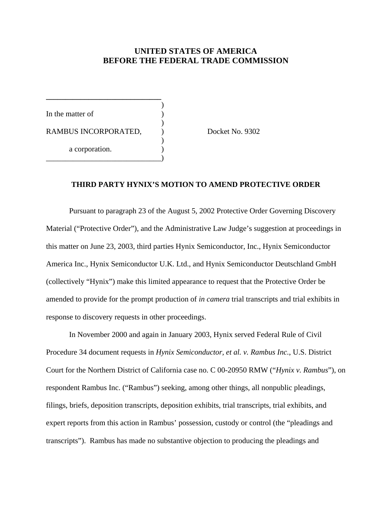### **UNITED STATES OF AMERICA BEFORE THE FEDERAL TRADE COMMISSION**

)

)

)

In the matter of RAMBUS INCORPORATED,  $Docket No. 9302$ a corporation. \_\_\_\_\_\_\_\_\_\_\_\_\_\_\_\_\_\_\_\_\_\_\_\_\_\_\_\_\_\_)

**\_\_\_\_\_\_\_\_\_\_\_\_\_\_\_\_\_\_\_\_\_\_\_\_\_\_\_\_\_\_**

#### **THIRD PARTY HYNIX'S MOTION TO AMEND PROTECTIVE ORDER**

Pursuant to paragraph 23 of the August 5, 2002 Protective Order Governing Discovery Material ("Protective Order"), and the Administrative Law Judge's suggestion at proceedings in this matter on June 23, 2003, third parties Hynix Semiconductor, Inc., Hynix Semiconductor America Inc., Hynix Semiconductor U.K. Ltd., and Hynix Semiconductor Deutschland GmbH (collectively "Hynix") make this limited appearance to request that the Protective Order be amended to provide for the prompt production of *in camera* trial transcripts and trial exhibits in response to discovery requests in other proceedings.

In November 2000 and again in January 2003, Hynix served Federal Rule of Civil Procedure 34 document requests in *Hynix Semiconductor, et al. v. Rambus Inc.*, U.S. District Court for the Northern District of California case no. C 00-20950 RMW ("*Hynix v. Rambus*"), on respondent Rambus Inc. ("Rambus") seeking, among other things, all nonpublic pleadings, filings, briefs, deposition transcripts, deposition exhibits, trial transcripts, trial exhibits, and expert reports from this action in Rambus' possession, custody or control (the "pleadings and transcripts"). Rambus has made no substantive objection to producing the pleadings and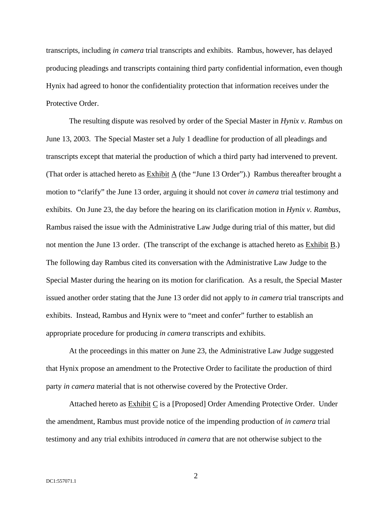transcripts, including *in camera* trial transcripts and exhibits. Rambus, however, has delayed producing pleadings and transcripts containing third party confidential information, even though Hynix had agreed to honor the confidentiality protection that information receives under the Protective Order.

The resulting dispute was resolved by order of the Special Master in *Hynix v. Rambus* on June 13, 2003. The Special Master set a July 1 deadline for production of all pleadings and transcripts except that material the production of which a third party had intervened to prevent. (That order is attached hereto as  $Exhibit A$  (the "June 13 Order").) Rambus thereafter brought a motion to "clarify" the June 13 order, arguing it should not cover *in camera* trial testimony and exhibits. On June 23, the day before the hearing on its clarification motion in *Hynix v. Rambus*, Rambus raised the issue with the Administrative Law Judge during trial of this matter, but did not mention the June 13 order. (The transcript of the exchange is attached hereto as Exhibit B.) The following day Rambus cited its conversation with the Administrative Law Judge to the Special Master during the hearing on its motion for clarification*.* As a result, the Special Master issued another order stating that the June 13 order did not apply to *in camera* trial transcripts and exhibits. Instead, Rambus and Hynix were to "meet and confer" further to establish an appropriate procedure for producing *in camera* transcripts and exhibits.

At the proceedings in this matter on June 23, the Administrative Law Judge suggested that Hynix propose an amendment to the Protective Order to facilitate the production of third party *in camera* material that is not otherwise covered by the Protective Order.

Attached hereto as Exhibit C is a [Proposed] Order Amending Protective Order. Under the amendment, Rambus must provide notice of the impending production of *in camera* trial testimony and any trial exhibits introduced *in camera* that are not otherwise subject to the

2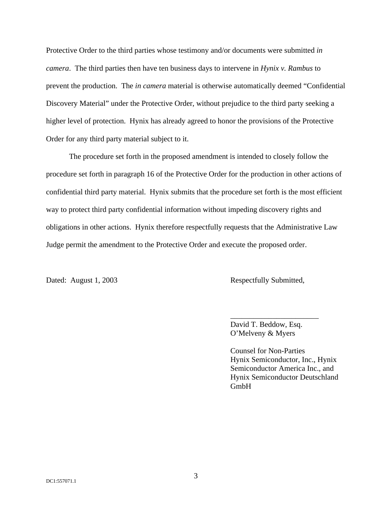Protective Order to the third parties whose testimony and/or documents were submitted *in camera*. The third parties then have ten business days to intervene in *Hynix v. Rambus* to prevent the production. The *in camera* material is otherwise automatically deemed "Confidential Discovery Material" under the Protective Order, without prejudice to the third party seeking a higher level of protection. Hynix has already agreed to honor the provisions of the Protective Order for any third party material subject to it.

The procedure set forth in the proposed amendment is intended to closely follow the procedure set forth in paragraph 16 of the Protective Order for the production in other actions of confidential third party material. Hynix submits that the procedure set forth is the most efficient way to protect third party confidential information without impeding discovery rights and obligations in other actions. Hynix therefore respectfully requests that the Administrative Law Judge permit the amendment to the Protective Order and execute the proposed order.

Dated: August 1, 2003 Respectfully Submitted,

David T. Beddow, Esq. O'Melveny & Myers

\_\_\_\_\_\_\_\_\_\_\_\_\_\_\_\_\_\_\_\_\_\_\_

Counsel for Non-Parties Hynix Semiconductor, Inc., Hynix Semiconductor America Inc., and Hynix Semiconductor Deutschland GmbH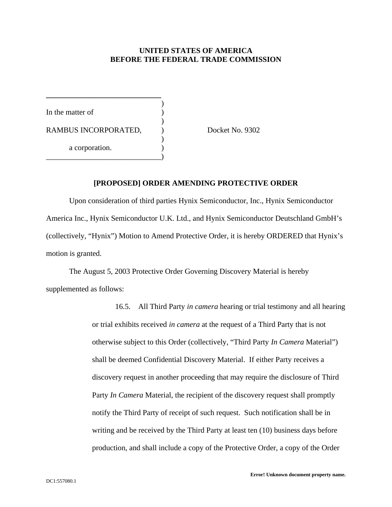#### **UNITED STATES OF AMERICA BEFORE THE FEDERAL TRADE COMMISSION**

) In the matter of ) RAMBUS INCORPORATED,  $Docket No. 9302$ ) a corporation. \_\_\_\_\_\_\_\_\_\_\_\_\_\_\_\_\_\_\_\_\_\_\_\_\_\_\_\_\_\_)

**\_\_\_\_\_\_\_\_\_\_\_\_\_\_\_\_\_\_\_\_\_\_\_\_\_\_\_\_\_\_**

#### **[PROPOSED] ORDER AMENDING PROTECTIVE ORDER**

Upon consideration of third parties Hynix Semiconductor, Inc., Hynix Semiconductor America Inc., Hynix Semiconductor U.K. Ltd., and Hynix Semiconductor Deutschland GmbH's (collectively, "Hynix") Motion to Amend Protective Order, it is hereby ORDERED that Hynix's motion is granted.

The August 5, 2003 Protective Order Governing Discovery Material is hereby supplemented as follows:

> 16.5. All Third Party *in camera* hearing or trial testimony and all hearing or trial exhibits received *in camera* at the request of a Third Party that is not otherwise subject to this Order (collectively, "Third Party *In Camera* Material") shall be deemed Confidential Discovery Material. If either Party receives a discovery request in another proceeding that may require the disclosure of Third Party *In Camera* Material, the recipient of the discovery request shall promptly notify the Third Party of receipt of such request. Such notification shall be in writing and be received by the Third Party at least ten (10) business days before production, and shall include a copy of the Protective Order, a copy of the Order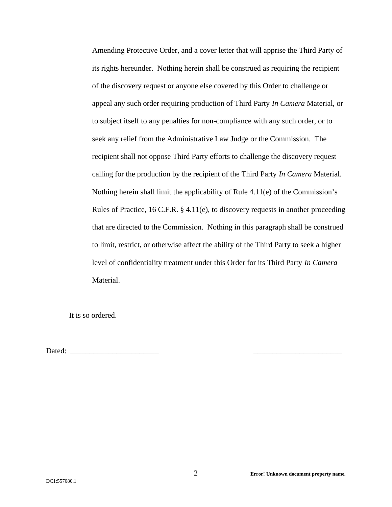Amending Protective Order, and a cover letter that will apprise the Third Party of its rights hereunder. Nothing herein shall be construed as requiring the recipient of the discovery request or anyone else covered by this Order to challenge or appeal any such order requiring production of Third Party *In Camera* Material, or to subject itself to any penalties for non-compliance with any such order, or to seek any relief from the Administrative Law Judge or the Commission. The recipient shall not oppose Third Party efforts to challenge the discovery request calling for the production by the recipient of the Third Party *In Camera* Material. Nothing herein shall limit the applicability of Rule 4.11(e) of the Commission's Rules of Practice, 16 C.F.R. § 4.11(e), to discovery requests in another proceeding that are directed to the Commission. Nothing in this paragraph shall be construed to limit, restrict, or otherwise affect the ability of the Third Party to seek a higher level of confidentiality treatment under this Order for its Third Party *In Camera* Material.

It is so ordered.

Dated: